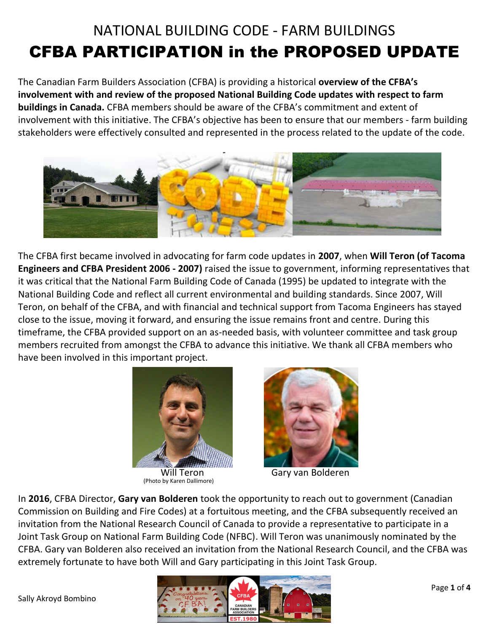# NATIONAL BUILDING CODE - FARM BUILDINGS CFBA PARTICIPATION in the PROPOSED UPDATE

The Canadian Farm Builders Association (CFBA) is providing a historical **overview of the CFBA's involvement with and review of the proposed National Building Code updates with respect to farm buildings in Canada.** CFBA members should be aware of the CFBA's commitment and extent of involvement with this initiative. The CFBA's objective has been to ensure that our members - farm building stakeholders were effectively consulted and represented in the process related to the update of the code.



The CFBA first became involved in advocating for farm code updates in **2007**, when **Will Teron (of Tacoma Engineers and CFBA President 2006 - 2007)** raised the issue to government, informing representatives that it was critical that the National Farm Building Code of Canada (1995) be updated to integrate with the National Building Code and reflect all current environmental and building standards. Since 2007, Will Teron, on behalf of the CFBA, and with financial and technical support from Tacoma Engineers has stayed close to the issue, moving it forward, and ensuring the issue remains front and centre. During this timeframe, the CFBA provided support on an as-needed basis, with volunteer committee and task group members recruited from amongst the CFBA to advance this initiative. We thank all CFBA members who have been involved in this important project.





Will Teron Gary van Bolderen

In **2016**, CFBA Director, **Gary van Bolderen** took the opportunity to reach out to government (Canadian Commission on Building and Fire Codes) at a fortuitous meeting, and the CFBA subsequently received an invitation from the National Research Council of Canada to provide a representative to participate in a Joint Task Group on National Farm Building Code (NFBC). Will Teron was unanimously nominated by the CFBA. Gary van Bolderen also received an invitation from the National Research Council, and the CFBA was extremely fortunate to have both Will and Gary participating in this Joint Task Group.

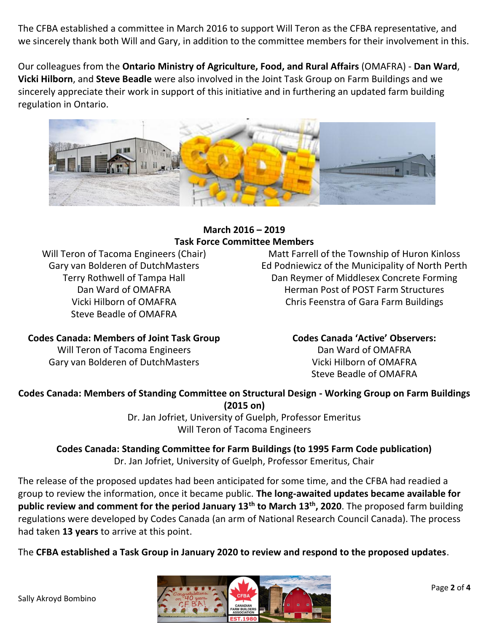The CFBA established a committee in March 2016 to support Will Teron as the CFBA representative, and we sincerely thank both Will and Gary, in addition to the committee members for their involvement in this.

Our colleagues from the **Ontario Ministry of Agriculture, Food, and Rural Affairs** (OMAFRA) - **Dan Ward**, **Vicki Hilborn**, and **Steve Beadle** were also involved in the Joint Task Group on Farm Buildings and we sincerely appreciate their work in support of this initiative and in furthering an updated farm building regulation in Ontario.



### **March 2016 – 2019 Task Force Committee Members**

Will Teron of Tacoma Engineers (Chair) Gary van Bolderen of DutchMasters Terry Rothwell of Tampa Hall Dan Ward of OMAFRA Vicki Hilborn of OMAFRA Steve Beadle of OMAFRA

Matt Farrell of the Township of Huron Kinloss Ed Podniewicz of the Municipality of North Perth Dan Reymer of Middlesex Concrete Forming Herman Post of POST Farm Structures Chris Feenstra of Gara Farm Buildings

#### **Codes Canada: Members of Joint Task Group**

Will Teron of Tacoma Engineers Gary van Bolderen of DutchMasters **Codes Canada 'Active' Observers:** Dan Ward of OMAFRA Vicki Hilborn of OMAFRA Steve Beadle of OMAFRA

**Codes Canada: Members of Standing Committee on Structural Design - Working Group on Farm Buildings (2015 on)**

Dr. Jan Jofriet, University of Guelph, Professor Emeritus Will Teron of Tacoma Engineers

**Codes Canada: Standing Committee for Farm Buildings (to 1995 Farm Code publication)** Dr. Jan Jofriet, University of Guelph, Professor Emeritus, Chair

The release of the proposed updates had been anticipated for some time, and the CFBA had readied a group to review the information, once it became public. **The long-awaited updates became available for public review and comment for the period January 13th to March 13th, 2020**. The proposed farm building regulations were developed by Codes Canada (an arm of National Research Council Canada). The process had taken **13 years** to arrive at this point.

The **CFBA established a Task Group in January 2020 to review and respond to the proposed updates**.

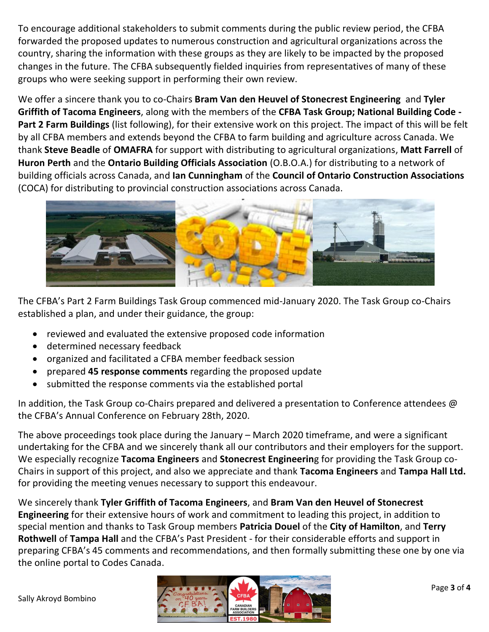To encourage additional stakeholders to submit comments during the public review period, the CFBA forwarded the proposed updates to numerous construction and agricultural organizations across the country, sharing the information with these groups as they are likely to be impacted by the proposed changes in the future. The CFBA subsequently fielded inquiries from representatives of many of these groups who were seeking support in performing their own review.

We offer a sincere thank you to co-Chairs **Bram Van den Heuvel of Stonecrest Engineering** and **Tyler Griffith of Tacoma Engineers**, along with the members of the **CFBA Task Group; National Building Code - Part 2 Farm Buildings** (list following), for their extensive work on this project. The impact of this will be felt by all CFBA members and extends beyond the CFBA to farm building and agriculture across Canada. We thank **Steve Beadle** of **OMAFRA** for support with distributing to agricultural organizations, **Matt Farrell** of **Huron Perth** and the **Ontario Building Officials Association** (O.B.O.A.) for distributing to a network of building officials across Canada, and **Ian Cunningham** of the **Council of Ontario Construction Associations** (COCA) for distributing to provincial construction associations across Canada.



The CFBA's Part 2 Farm Buildings Task Group commenced mid-January 2020. The Task Group co-Chairs established a plan, and under their guidance, the group:

- reviewed and evaluated the extensive proposed code information
- **•** determined necessary feedback
- organized and facilitated a CFBA member feedback session
- prepared **45 response comments** regarding the proposed update
- submitted the response comments via the established portal

In addition, the Task Group co-Chairs prepared and delivered a presentation to Conference attendees @ the CFBA's Annual Conference on February 28th, 2020.

The above proceedings took place during the January – March 2020 timeframe, and were a significant undertaking for the CFBA and we sincerely thank all our contributors and their employers for the support. We especially recognize **Tacoma Engineers** and **Stonecrest Engineerin**g for providing the Task Group co-Chairs in support of this project, and also we appreciate and thank **Tacoma Engineers** and **Tampa Hall Ltd.** for providing the meeting venues necessary to support this endeavour.

We sincerely thank **Tyler Griffith of Tacoma Engineers**, and **Bram Van den Heuvel of Stonecrest Engineering** for their extensive hours of work and commitment to leading this project, in addition to special mention and thanks to Task Group members **Patricia Douel** of the **City of Hamilton**, and **Terry Rothwell** of **Tampa Hall** and the CFBA's Past President - for their considerable efforts and support in preparing CFBA's 45 comments and recommendations, and then formally submitting these one by one via the online portal to Codes Canada.